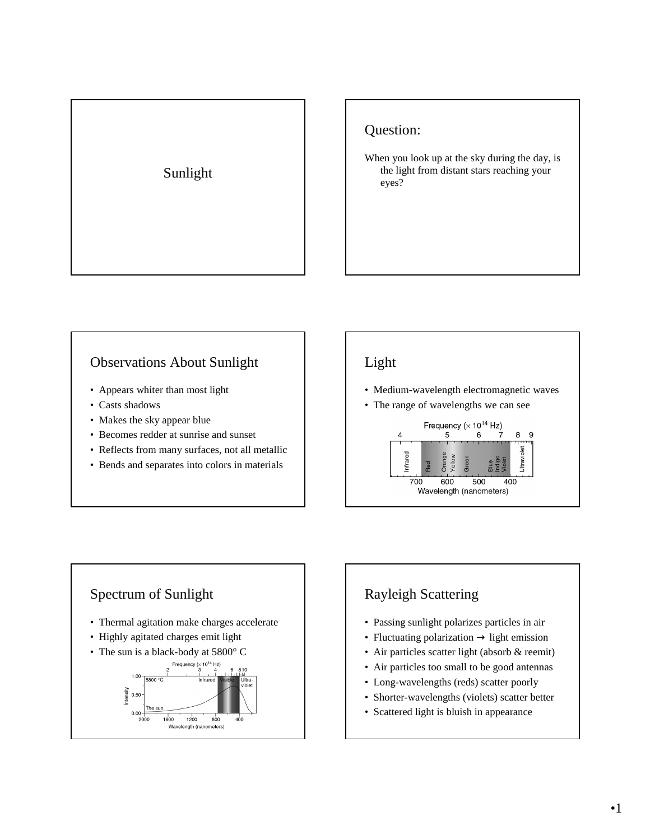# Sunlight

#### Question:

When you look up at the sky during the day, is the light from distant stars reaching your eyes?

#### Observations About Sunlight

- Appears whiter than most light
- Casts shadows
- Makes the sky appear blue
- Becomes redder at sunrise and sunset
- Reflects from many surfaces, not all metallic
- Bends and separates into colors in materials

# Light

- Medium-wavelength electromagnetic waves
- The range of wavelengths we can see



#### Spectrum of Sunlight • Thermal agitation make charges accelerate • Highly agitated charges emit light • The sun is a black-body at 5800°C Frequency ( $\times$  10<sup>14</sup> Hz) 810  $1.00\sqrt{5800\degree C}$ Ültra Intensity<br> $0.50$ The sur  $0.00 1600$  $1200$ 2000 800 400 Wavelength (na neters)

# Rayleigh Scattering

- Passing sunlight polarizes particles in air
- Fluctuating polarization  $\rightarrow$  light emission
- Air particles scatter light (absorb & reemit)
- Air particles too small to be good antennas
- Long-wavelengths (reds) scatter poorly
- Shorter-wavelengths (violets) scatter better
- Scattered light is bluish in appearance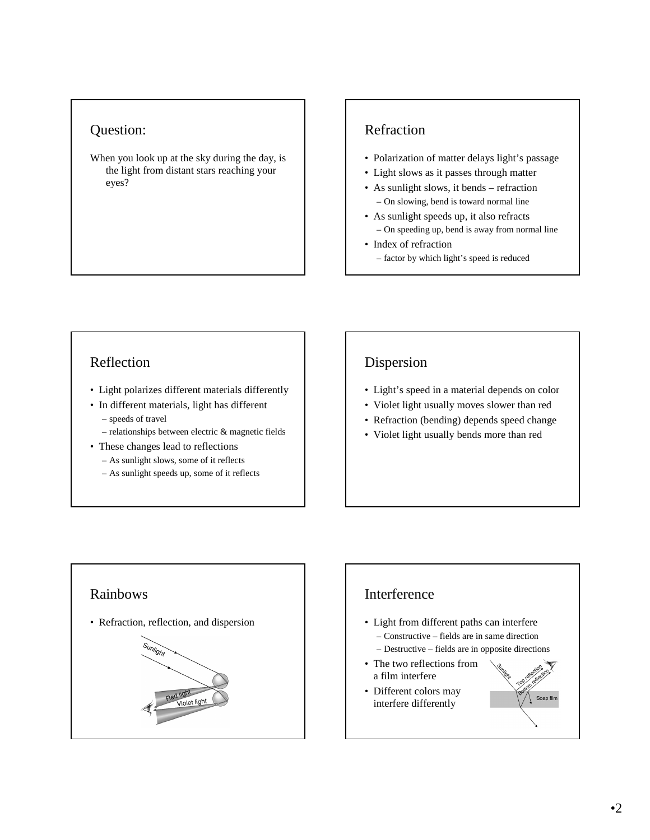#### Question:

When you look up at the sky during the day, is the light from distant stars reaching your eyes?

#### Refraction

- Polarization of matter delays light's passage
- Light slows as it passes through matter
- As sunlight slows, it bends refraction – On slowing, bend is toward normal line
- As sunlight speeds up, it also refracts – On speeding up, bend is away from normal line
- Index of refraction – factor by which light's speed is reduced

#### Reflection

- Light polarizes different materials differently
- In different materials, light has different – speeds of travel
	- relationships between electric & magnetic fields
- These changes lead to reflections
	- As sunlight slows, some of it reflects
	- As sunlight speeds up, some of it reflects

### Dispersion

- Light's speed in a material depends on color
- Violet light usually moves slower than red
- Refraction (bending) depends speed change
- Violet light usually bends more than red

# Rainbows • Refraction, reflection, and dispersion **Sunlight** Violet light

## Interference • Light from different paths can interfere – Constructive – fields are in same direction – Destructive – fields are in opposite directions • The two reflections from a film interfere • Different colors may Soap film interfere differently